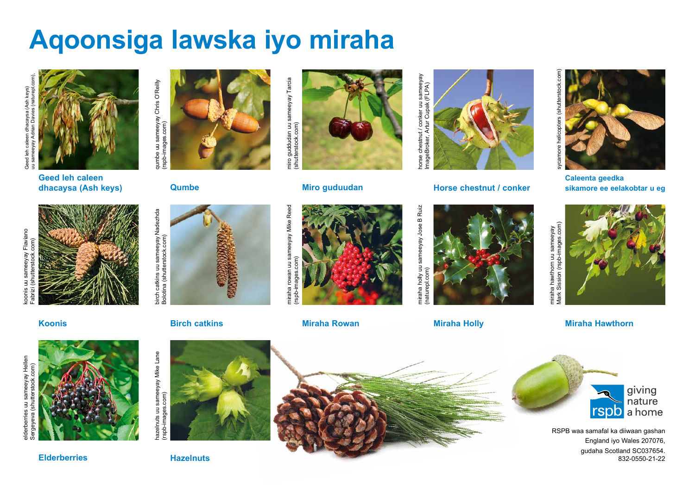## **Aqoonsiga lawska iyo miraha**



**Geed leh caleen dhacaysa (Ash keys)**





niro guddudan uu sameeyay Tarcia<br>shutterstock.com) miro guddudan uu sameeyay Tarcia



## **Qumbe Miro guduudan**





miraha holly uu sameeyay Jose B Ruiz miraha holly uu sameeyay Jose B Ruiz naturepl.com) (naturepl.com)

horse chestnut / conker uu sameeyay ImageBroker, Artur Cupak (FLPA)

norse chestnut / conker uu sameeyay<br>ImageBroker, Artur Cupak (FLPA)





**Caleenta geedka Horse chestnut / conker sikamore ee eelakobtar u eg**



**Birch catkins Miraha Rowan Miraha Holly Miraha Hawthorn**

miraha hawthorn uu sameeyay







RSPB waa samafal ka diiwaan gashan England iyo Wales 207076, gudaha Scotland SC037654. 832-0550-21-22

uu sameeyay Flaviano<br>(shutterstock.com) koonis uu sameeyay Flaviano Fabrizi (shutterstock.com) ponis

elderberries uu sameeyay Hellen Sergeyeva (shutterstock.com)

rberries uu sameeyay Hellen<br>eyeva (shutterstock.com)

(shutter

্ত

.com)

**Koonis**



birch catkins uu sameeyay Nadezhda Nadezhda pirch catkins uu sameeyay l<br>Bolotina (shutterstock.com)

hazelnuts uu sameeyay Mike Lane

azelnuts uu sameeyay Mike Lane<br>rspb-images.com)

(rspb-images.com)



miraha rowan uu sameeyay Mike Reed sameeyay Mike Reed (rspb-images.com)  $\frac{1}{2}$